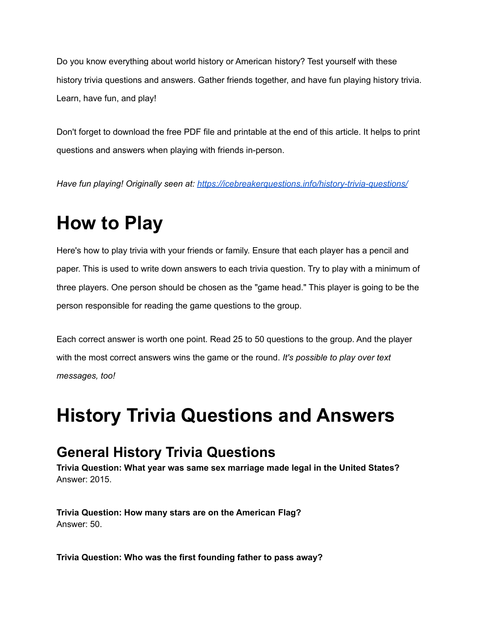Do you know everything about world history or American history? Test yourself with these history trivia questions and answers. Gather friends together, and have fun playing history trivia. Learn, have fun, and play!

Don't forget to download the free PDF file and printable at the end of this article. It helps to print questions and answers when playing with friends in-person.

*Have fun playing! Originally seen at: <https://icebreakerquestions.info/history-trivia-questions/>*

# **How to Play**

Here's how to play trivia with your friends or family. Ensure that each player has a pencil and paper. This is used to write down answers to each trivia question. Try to play with a minimum of three players. One person should be chosen as the "game head." This player is going to be the person responsible for reading the game questions to the group.

Each correct answer is worth one point. Read 25 to 50 questions to the group. And the player with the most correct answers wins the game or the round. *It's possible to play over text messages, too!*

# **History Trivia Questions and Answers**

# **General History Trivia Questions**

**Trivia Question: What year was same sex marriage made legal in the United States?** Answer: 2015.

**Trivia Question: How many stars are on the American Flag?** Answer: 50.

**Trivia Question: Who was the first founding father to pass away?**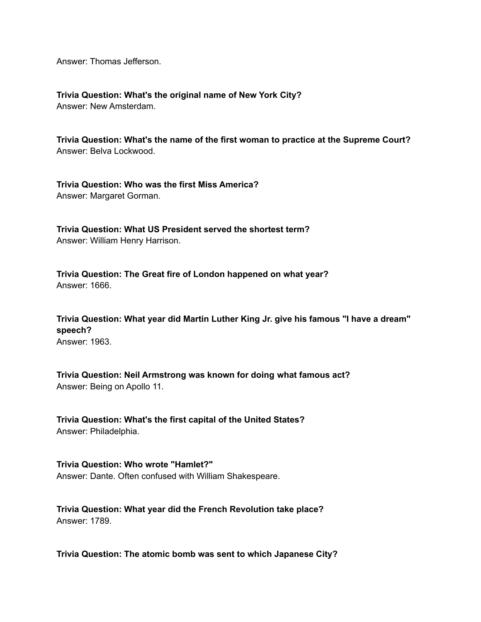Answer: Thomas Jefferson.

**Trivia Question: What's the original name of New York City?** Answer: New Amsterdam.

**Trivia Question: What's the name of the first woman to practice at the Supreme Court?** Answer: Belva Lockwood.

**Trivia Question: Who was the first Miss America?** Answer: Margaret Gorman.

**Trivia Question: What US President served the shortest term?** Answer: William Henry Harrison.

**Trivia Question: The Great fire of London happened on what year?** Answer: 1666.

**Trivia Question: What year did Martin Luther King Jr. give his famous "I have a dream" speech?** Answer: 1963.

**Trivia Question: Neil Armstrong was known for doing what famous act?** Answer: Being on Apollo 11.

**Trivia Question: What's the first capital of the United States?** Answer: Philadelphia.

**Trivia Question: Who wrote "Hamlet?"** Answer: Dante. Often confused with William Shakespeare.

**Trivia Question: What year did the French Revolution take place?** Answer: 1789.

**Trivia Question: The atomic bomb was sent to which Japanese City?**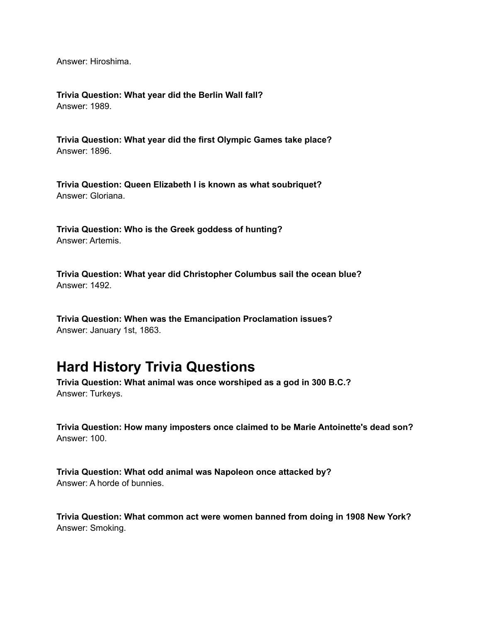Answer: Hiroshima.

**Trivia Question: What year did the Berlin Wall fall?** Answer: 1989.

**Trivia Question: What year did the first Olympic Games take place?** Answer: 1896.

**Trivia Question: Queen Elizabeth I is known as what soubriquet?** Answer: Gloriana.

**Trivia Question: Who is the Greek goddess of hunting?** Answer: Artemis.

**Trivia Question: What year did Christopher Columbus sail the ocean blue?** Answer: 1492.

**Trivia Question: When was the Emancipation Proclamation issues?** Answer: January 1st, 1863.

#### **Hard History Trivia Questions**

**Trivia Question: What animal was once worshiped as a god in 300 B.C.?** Answer: Turkeys.

**Trivia Question: How many imposters once claimed to be Marie Antoinette's dead son?** Answer: 100.

**Trivia Question: What odd animal was Napoleon once attacked by?** Answer: A horde of bunnies.

**Trivia Question: What common act were women banned from doing in 1908 New York?** Answer: Smoking.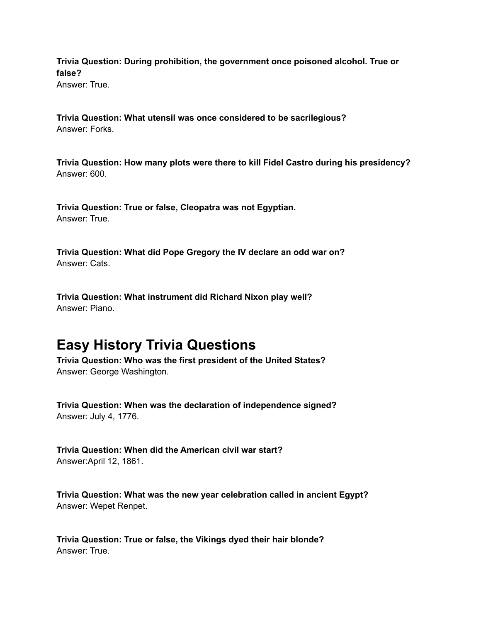**Trivia Question: During prohibition, the government once poisoned alcohol. True or false?**

Answer: True.

**Trivia Question: What utensil was once considered to be sacrilegious?** Answer: Forks.

**Trivia Question: How many plots were there to kill Fidel Castro during his presidency?** Answer: 600.

**Trivia Question: True or false, Cleopatra was not Egyptian.** Answer: True.

**Trivia Question: What did Pope Gregory the IV declare an odd war on?** Answer: Cats.

**Trivia Question: What instrument did Richard Nixon play well?** Answer: Piano.

# **Easy History Trivia Questions**

**Trivia Question: Who was the first president of the United States?** Answer: George Washington.

**Trivia Question: When was the declaration of independence signed?** Answer: July 4, 1776.

**Trivia Question: When did the American civil war start?** Answer:April 12, 1861.

**Trivia Question: What was the new year celebration called in ancient Egypt?** Answer: Wepet Renpet.

**Trivia Question: True or false, the Vikings dyed their hair blonde?** Answer: True.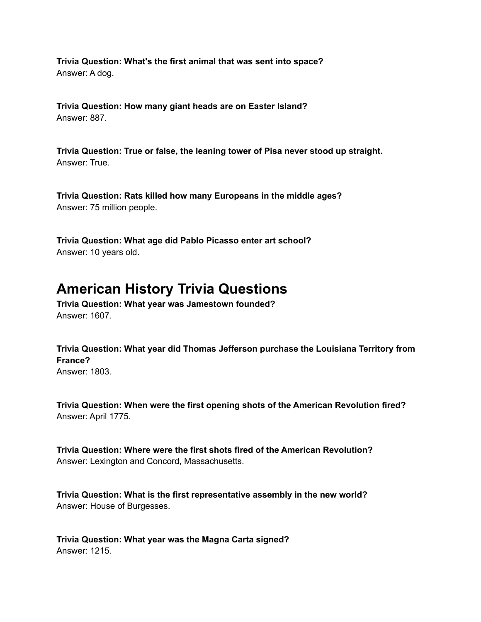**Trivia Question: What's the first animal that was sent into space?** Answer: A dog.

**Trivia Question: How many giant heads are on Easter Island?** Answer: 887.

**Trivia Question: True or false, the leaning tower of Pisa never stood up straight.** Answer: True.

**Trivia Question: Rats killed how many Europeans in the middle ages?** Answer: 75 million people.

**Trivia Question: What age did Pablo Picasso enter art school?** Answer: 10 years old.

# **American History Trivia Questions**

**Trivia Question: What year was Jamestown founded?** Answer: 1607.

**Trivia Question: What year did Thomas Jefferson purchase the Louisiana Territory from France?** Answer: 1803.

**Trivia Question: When were the first opening shots of the American Revolution fired?** Answer: April 1775.

**Trivia Question: Where were the first shots fired of the American Revolution?** Answer: Lexington and Concord, Massachusetts.

**Trivia Question: What is the first representative assembly in the new world?** Answer: House of Burgesses.

**Trivia Question: What year was the Magna Carta signed?** Answer: 1215.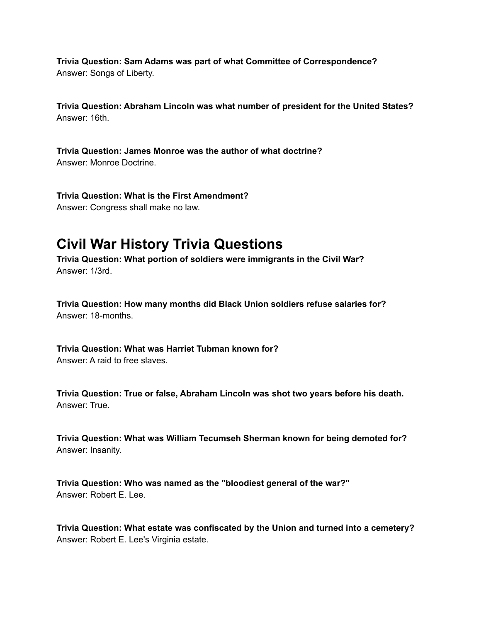**Trivia Question: Sam Adams was part of what Committee of Correspondence?** Answer: Songs of Liberty.

**Trivia Question: Abraham Lincoln was what number of president for the United States?** Answer: 16th.

**Trivia Question: James Monroe was the author of what doctrine?** Answer: Monroe Doctrine.

**Trivia Question: What is the First Amendment?** Answer: Congress shall make no law.

# **Civil War History Trivia Questions**

**Trivia Question: What portion of soldiers were immigrants in the Civil War?** Answer: 1/3rd.

**Trivia Question: How many months did Black Union soldiers refuse salaries for?** Answer: 18-months.

**Trivia Question: What was Harriet Tubman known for?**

Answer: A raid to free slaves.

**Trivia Question: True or false, Abraham Lincoln was shot two years before his death.** Answer: True.

**Trivia Question: What was William Tecumseh Sherman known for being demoted for?** Answer: Insanity.

**Trivia Question: Who was named as the "bloodiest general of the war?"** Answer: Robert E. Lee.

**Trivia Question: What estate was confiscated by the Union and turned into a cemetery?** Answer: Robert E. Lee's Virginia estate.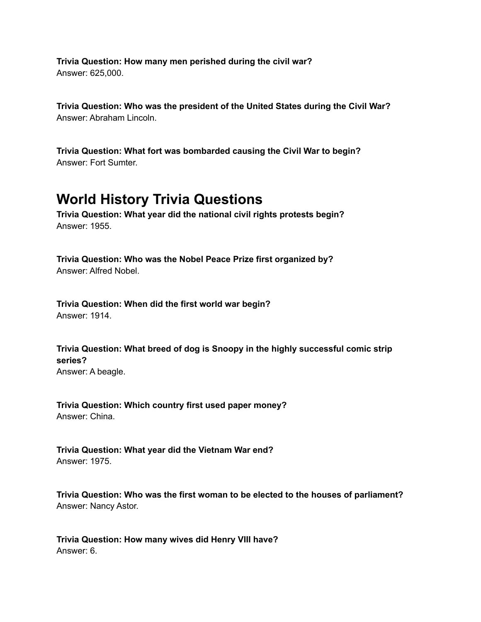**Trivia Question: How many men perished during the civil war?** Answer: 625,000.

**Trivia Question: Who was the president of the United States during the Civil War?** Answer: Abraham Lincoln.

**Trivia Question: What fort was bombarded causing the Civil War to begin?** Answer: Fort Sumter.

#### **World History Trivia Questions**

**Trivia Question: What year did the national civil rights protests begin?** Answer: 1955.

**Trivia Question: Who was the Nobel Peace Prize first organized by?** Answer: Alfred Nobel.

**Trivia Question: When did the first world war begin?** Answer: 1914.

**Trivia Question: What breed of dog is Snoopy in the highly successful comic strip series?** Answer: A beagle.

**Trivia Question: Which country first used paper money?** Answer: China.

**Trivia Question: What year did the Vietnam War end?** Answer: 1975.

**Trivia Question: Who was the first woman to be elected to the houses of parliament?** Answer: Nancy Astor.

**Trivia Question: How many wives did Henry VIII have?** Answer: 6.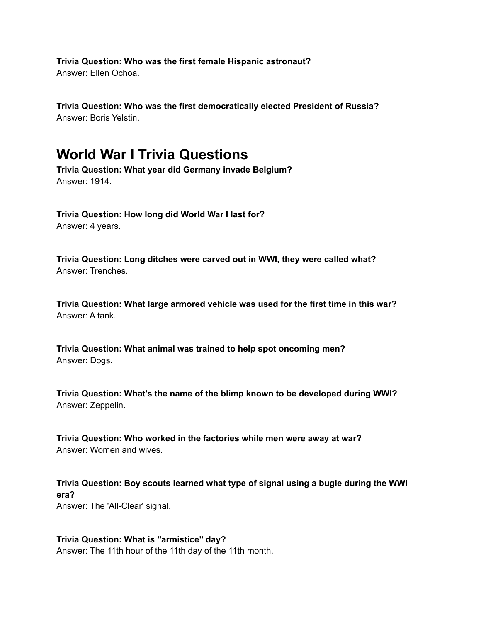**Trivia Question: Who was the first female Hispanic astronaut?** Answer: Ellen Ochoa.

**Trivia Question: Who was the first democratically elected President of Russia?** Answer: Boris Yelstin.

#### **World War I Trivia Questions**

**Trivia Question: What year did Germany invade Belgium?** Answer: 1914.

**Trivia Question: How long did World War I last for?** Answer: 4 years.

**Trivia Question: Long ditches were carved out in WWI, they were called what?** Answer: Trenches.

**Trivia Question: What large armored vehicle was used for the first time in this war?** Answer: A tank.

**Trivia Question: What animal was trained to help spot oncoming men?** Answer: Dogs.

**Trivia Question: What's the name of the blimp known to be developed during WWI?** Answer: Zeppelin.

**Trivia Question: Who worked in the factories while men were away at war?** Answer: Women and wives.

**Trivia Question: Boy scouts learned what type of signal using a bugle during the WWI era?** Answer: The 'All-Clear' signal.

**Trivia Question: What is "armistice" day?** Answer: The 11th hour of the 11th day of the 11th month.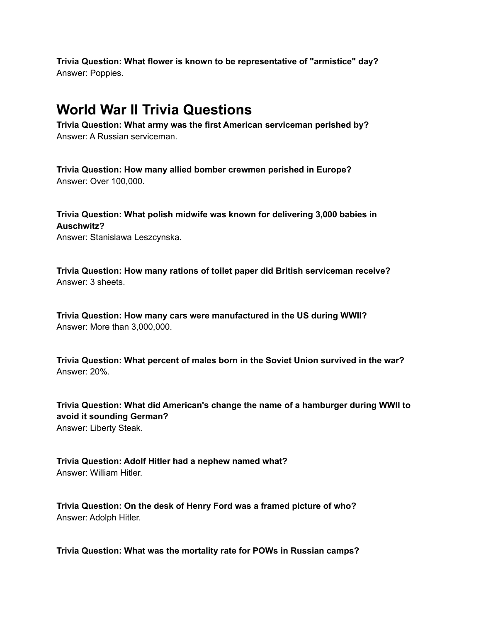**Trivia Question: What flower is known to be representative of "armistice" day?** Answer: Poppies.

#### **World War II Trivia Questions**

**Trivia Question: What army was the first American serviceman perished by?** Answer: A Russian serviceman.

**Trivia Question: How many allied bomber crewmen perished in Europe?** Answer: Over 100,000.

**Trivia Question: What polish midwife was known for delivering 3,000 babies in Auschwitz?**

Answer: Stanislawa Leszcynska.

**Trivia Question: How many rations of toilet paper did British serviceman receive?** Answer: 3 sheets.

**Trivia Question: How many cars were manufactured in the US during WWII?** Answer: More than 3,000,000.

**Trivia Question: What percent of males born in the Soviet Union survived in the war?** Answer: 20%.

**Trivia Question: What did American's change the name of a hamburger during WWII to avoid it sounding German?** Answer: Liberty Steak.

**Trivia Question: Adolf Hitler had a nephew named what?** Answer: William Hitler.

**Trivia Question: On the desk of Henry Ford was a framed picture of who?** Answer: Adolph Hitler.

**Trivia Question: What was the mortality rate for POWs in Russian camps?**